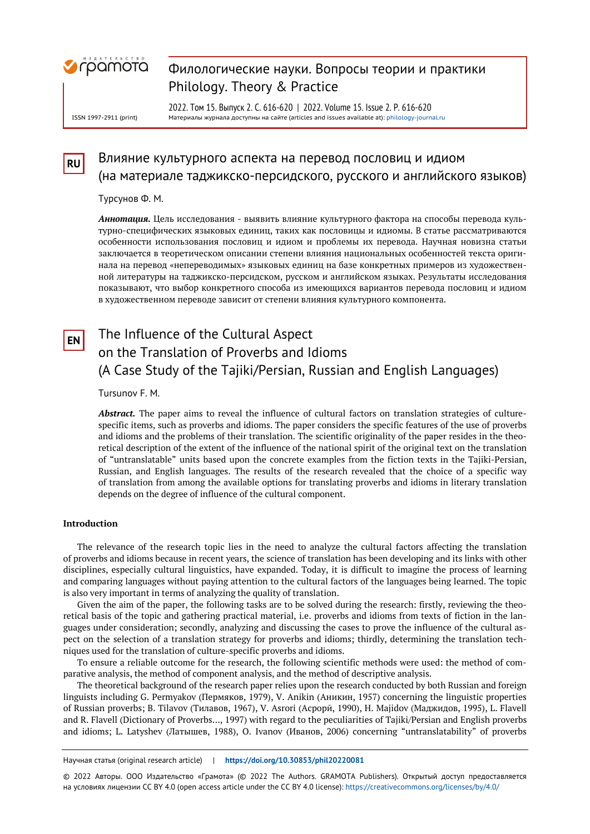

ISSN 1997-2911 (print)

### Филологические науки. Вопросы теории и практики Philology. Theory & Practice

2022. Том 15. Выпуск 2. С. 616-620 | 2022. Volume 15. Issue 2. P. 616-620 Материалы журнала доступны на сайте (articles and issues available at)[: philology-journal.ru](https://philology-journal.ru/)

## **RU** Влияние культурного аспекта на перевод пословиц и идиом (на материале таджикско-персидского, русского и английского языков)

Турсунов Ф. М.

*Аннотация.* Цель исследования - выявить влияние культурного фактора на способы перевода культурно-специфических языковых единиц, таких как пословицы и идиомы. В статье рассматриваются особенности использования пословиц и идиом и проблемы их перевода. Научная новизна статьи заключается в теоретическом описании степени влияния национальных особенностей текста оригинала на перевод «непереводимых» языковых единиц на базе конкретных примеров из художественной литературы на таджикско-персидском, русском и английском языках. Результаты исследования показывают, что выбор конкретного способа из имеющихся вариантов перевода пословиц и идиом в художественном переводе зависит от степени влияния культурного компонента.

# **EN** The Influence of the Cultural Aspect on the Translation of Proverbs and Idioms (A Case Study of the Tajiki/Persian, Russian and English Languages)

Tursunov F. M.

*Abstract.* The paper aims to reveal the influence of cultural factors on translation strategies of culturespecific items, such as proverbs and idioms. The paper considers the specific features of the use of proverbs and idioms and the problems of their translation. The scientific originality of the paper resides in the theoretical description of the extent of the influence of the national spirit of the original text on the translation of "untranslatable" units based upon the concrete examples from the fiction texts in the Tajiki-Persian, Russian, and English languages. The results of the research revealed that the choice of a specific way of translation from among the available options for translating proverbs and idioms in literary translation depends on the degree of influence of the cultural component.

#### **Introduction**

The relevance of the research topic lies in the need to analyze the cultural factors affecting the translation of proverbs and idioms because in recent years, the science of translation has been developing and its links with other disciplines, especially cultural linguistics, have expanded. Today, it is difficult to imagine the process of learning and comparing languages without paying attention to the cultural factors of the languages being learned. The topic is also very important in terms of analyzing the quality of translation.

Given the aim of the paper, the following tasks are to be solved during the research: firstly, reviewing the theoretical basis of the topic and gathering practical material, i.e. proverbs and idioms from texts of fiction in the languages under consideration; secondly, analyzing and discussing the cases to prove the influence of the cultural aspect on the selection of a translation strategy for proverbs and idioms; thirdly, determining the translation techniques used for the translation of culture-specific proverbs and idioms.

To ensure a reliable outcome for the research, the following scientific methods were used: the method of comparative analysis, the method of component analysis, and the method of descriptive analysis.

The theoretical background of the research paper relies upon the research conducted by both Russian and foreign linguists including G. Permyakov (Пермяков, 1979), V. Anikin (Аникин, 1957) concerning the linguistic properties of Russian proverbs; B. Tilavov (Тилавов, 1967), V. Asrori (Асрорӣ, 1990), H. Majidov (Маджидов, 1995), L. Flavell and R. Flavell (Dictionary of Proverbs…, 1997) with regard to the peculiarities of Tajiki/Persian and English proverbs and idioms; L. Latyshev (Латышев, 1988), O. Ivanov (Иванов, 2006) concerning "untranslatability" of proverbs

Научная статья (original research article) | **https://doi.org/10.30853/phil20220081**

© 2022 Авторы. ООО Издательство «Грамота» (© 2022 The Authors. GRAMOTA Publishers). Открытый доступ предоставляется на условиях лицензии CC BY 4.0 (open access article under the CC BY 4.0 license): https://creativecommons.org/licenses/by/4.0/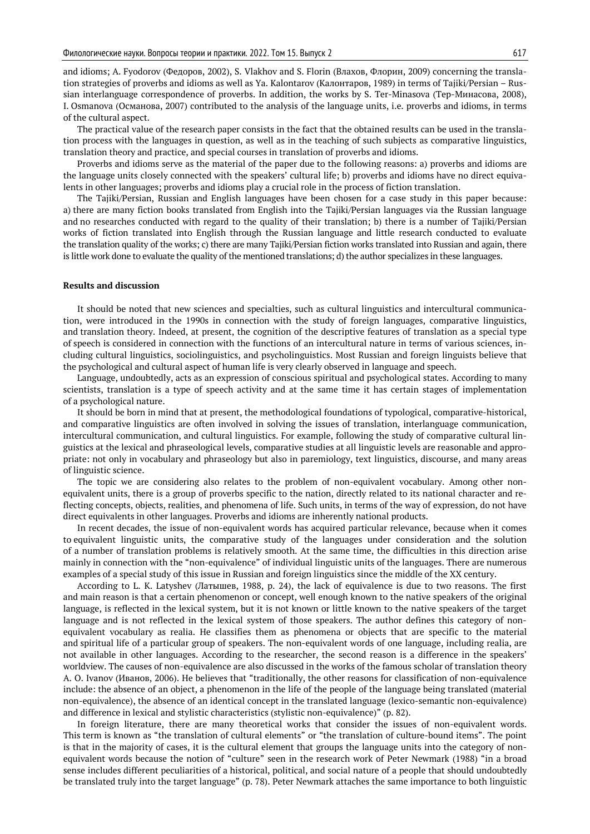and idioms; A. Fyodorov (Федоров, 2002), S. Vlakhov and S. Florin (Влахов, Флорин, 2009) concerning the translation strategies of proverbs and idioms as well as Ya. Kalontarov (Калонтаров, 1989) in terms of Tajiki/Persian – Russian interlanguage correspondence of proverbs. In addition, the works by S. Ter-Minasova (Тер-Минасова, 2008), I. Osmanova (Османова, 2007) contributed to the analysis of the language units, i.e. proverbs and idioms, in terms of the cultural aspect.

The practical value of the research paper consists in the fact that the obtained results can be used in the translation process with the languages in question, as well as in the teaching of such subjects as comparative linguistics, translation theory and practice, and special courses in translation of proverbs and idioms.

Proverbs and idioms serve as the material of the paper due to the following reasons: a) proverbs and idioms are the language units closely connected with the speakers' cultural life; b) proverbs and idioms have no direct equivalents in other languages; proverbs and idioms play a crucial role in the process of fiction translation.

The Tajiki/Persian, Russian and English languages have been chosen for a case study in this paper because: a) there are many fiction books translated from English into the Tajiki/Persian languages via the Russian language and no researches conducted with regard to the quality of their translation; b) there is a number of Tajiki/Persian works of fiction translated into English through the Russian language and little research conducted to evaluate the translation quality of the works; c) there are many Tajiki/Persian fiction works translated into Russian and again, there is little work done to evaluate the quality of the mentioned translations; d) the author specializes in these languages.

#### **Results and discussion**

It should be noted that new sciences and specialties, such as cultural linguistics and intercultural communication, were introduced in the 1990s in connection with the study of foreign languages, comparative linguistics, and translation theory. Indeed, at present, the cognition of the descriptive features of translation as a special type of speech is considered in connection with the functions of an intercultural nature in terms of various sciences, including cultural linguistics, sociolinguistics, and psycholinguistics. Most Russian and foreign linguists believe that the psychological and cultural aspect of human life is very clearly observed in language and speech.

Language, undoubtedly, acts as an expression of conscious spiritual and psychological states. According to many scientists, translation is a type of speech activity and at the same time it has certain stages of implementation of a psychological nature.

It should be born in mind that at present, the methodological foundations of typological, comparative-historical, and comparative linguistics are often involved in solving the issues of translation, interlanguage communication, intercultural communication, and cultural linguistics. For example, following the study of comparative cultural linguistics at the lexical and phraseological levels, comparative studies at all linguistic levels are reasonable and appropriate: not only in vocabulary and phraseology but also in paremiology, text linguistics, discourse, and many areas of linguistic science.

The topic we are considering also relates to the problem of non-equivalent vocabulary. Among other nonequivalent units, there is a group of proverbs specific to the nation, directly related to its national character and reflecting concepts, objects, realities, and phenomena of life. Such units, in terms of the way of expression, do not have direct equivalents in other languages. Proverbs and idioms are inherently national products.

In recent decades, the issue of non-equivalent words has acquired particular relevance, because when it comes to equivalent linguistic units, the comparative study of the languages under consideration and the solution of a number of translation problems is relatively smooth. At the same time, the difficulties in this direction arise mainly in connection with the "non-equivalence" of individual linguistic units of the languages. There are numerous examples of a special study of this issue in Russian and foreign linguistics since the middle of the XX century.

According to L. K. Latyshev (Латышев, 1988, p. 24), the lack of equivalence is due to two reasons. The first and main reason is that a certain phenomenon or concept, well enough known to the native speakers of the original language, is reflected in the lexical system, but it is not known or little known to the native speakers of the target language and is not reflected in the lexical system of those speakers. The author defines this category of nonequivalent vocabulary as realia. He classifies them as phenomena or objects that are specific to the material and spiritual life of a particular group of speakers. The non-equivalent words of one language, including realia, are not available in other languages. According to the researcher, the second reason is a difference in the speakers' worldview. The causes of non-equivalence are also discussed in the works of the famous scholar of translation theory A. O. Ivanov (Иванов, 2006). He believes that "traditionally, the other reasons for classification of non-equivalence include: the absence of an object, a phenomenon in the life of the people of the language being translated (material non-equivalence), the absence of an identical concept in the translated language (lexico-semantic non-equivalence) and difference in lexical and stylistic characteristics (stylistic non-equivalence)" (p. 82).

In foreign literature, there are many theoretical works that consider the issues of non-equivalent words. This term is known as "the translation of cultural elements" or "the translation of culture-bound items". The point is that in the majority of cases, it is the cultural element that groups the language units into the category of nonequivalent words because the notion of "culture" seen in the research work of Peter Newmark (1988) "in a broad sense includes different peculiarities of a historical, political, and social nature of a people that should undoubtedly be translated truly into the target language" (p. 78). Peter Newmark attaches the same importance to both linguistic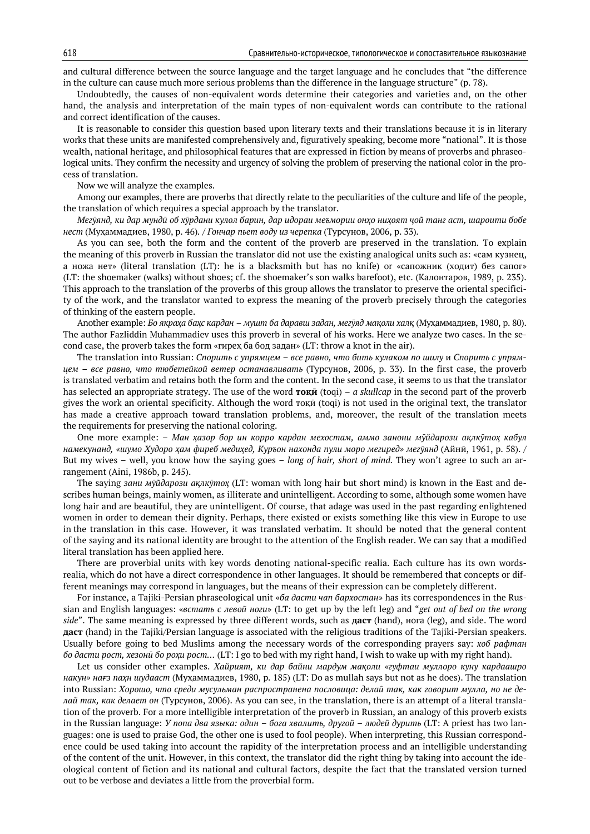and cultural difference between the source language and the target language and he concludes that "the difference in the culture can cause much more serious problems than the difference in the language structure" (p. 78).

Undoubtedly, the causes of non-equivalent words determine their categories and varieties and, on the other hand, the analysis and interpretation of the main types of non-equivalent words can contribute to the rational and correct identification of the causes.

It is reasonable to consider this question based upon literary texts and their translations because it is in literary works that these units are manifested comprehensively and, figuratively speaking, become more "national". It is those wealth, national heritage, and philosophical features that are expressed in fiction by means of proverbs and phraseological units. They confirm the necessity and urgency of solving the problem of preserving the national color in the process of translation.

Now we will analyze the examples.

Among our examples, there are proverbs that directly relate to the peculiarities of the culture and life of the people, the translation of which requires a special approach by the translator.

Мегуянд, ки дар мунди об хурдани кулол барин, дар идораи меъмории онхо нихоят чой танг аст, шароити бобе *нест* (Муҳаммадиев, 1980, p. 46)*.* / *Гончар пьет воду из черепка* (Турсунов, 2006, p. 33)*.*

As you can see, both the form and the content of the proverb are preserved in the translation. To explain the meaning of this proverb in Russian the translator did not use the existing analogical units such as: «сам кузнец, а ножа нет» (literal translation (LT): he is a blacksmith but has no knife) or «сапожник (ходит) без сапог» (LT: the shoemaker (walks) without shoes; cf. the shoemaker's son walks barefoot), etc. (Калонтаров, 1989, p. 235). This approach to the translation of the proverbs of this group allows the translator to preserve the oriental specificity of the work, and the translator wanted to express the meaning of the proverb precisely through the categories of thinking of the eastern people.

Another example: *Бо якраҳа баҳс кардан – мушт ба даравш задан, мегӯяд мақоли халқ* (Муҳаммадиев, 1980, p. 80). The author Fazliddin Muhammadiev uses this proverb in several of his works. Here we analyze two cases. In the second case, the proverb takes the form «гирех ба бод задан» (LT: throw a knot in the air).

The translation into Russian: *Спорить с упрямцем – все равно, что бить кулаком по шилу* и *Спорить с упрямцем – все равно, что тюбетейкой ветер останавливать* (Турсунов, 2006, p. 33). In the first case, the proverb is translated verbatim and retains both the form and the content. In the second case, it seems to us that the translator has selected an appropriate strategy. The use of the word **тоқӣ** (toqi) – *a skullcap* in the second part of the proverb gives the work an oriental specificity. Although the word тоқй (toqi) is not used in the original text, the translator has made a creative approach toward translation problems, and, moreover, the result of the translation meets the requirements for preserving the national coloring.

One more example: *– Ман ҳазор бор ин корро кардан мехостам, аммо занони мӯйдарози ақлкӯтоҳ кабул намекунанд, «шумо Худоро ҳам фиреб медиҳед, Куръон нахонда пули моро мегиред» мегӯянд* (Айнӣ, 1961, p. 58). / But my wives – well, you know how the saying goes – *long of hair, short of mind.* They won't agree to such an arrangement (Aini, 1986b, p. 245).

The saying *зани мӯйдарози ақлкӯтоҳ* (LT: woman with long hair but short mind) is known in the East and describes human beings, mainly women, as illiterate and unintelligent. According to some, although some women have long hair and are beautiful, they are unintelligent. Of course, that adage was used in the past regarding enlightened women in order to demean their dignity. Perhaps, there existed or exists something like this view in Europe to use in the translation in this case. However, it was translated verbatim. It should be noted that the general content of the saying and its national identity are brought to the attention of the English reader. We can say that a modified literal translation has been applied here.

There are proverbial units with key words denoting national-specific realia. Each culture has its own wordsrealia, which do not have a direct correspondence in other languages. It should be remembered that concepts or different meanings may correspond in languages, but the means of their expression can be completely different.

For instance, a Tajiki-Persian phraseological unit «*ба дасти чап бархостан*» has its correspondences in the Russian and English languages: «*встать с левой ноги*» (LT: to get up by the left leg) and "*get out of bed on the wrong side*". The same meaning is expressed by three different words, such as **даст** (hand), нога (leg), and side. The word **даст** (hand) in the Tajiki/Persian language is associated with the religious traditions of the Tajiki-Persian speakers. Usually before going to bed Muslims among the necessary words of the corresponding prayers say: *хоб рафтан бо дасти рост, хезонӣ бо роҳи рост…* (LT: I go to bed with my right hand, I wish to wake up with my right hand).

Let us consider other examples. *Хайрият, ки дар байни мардум мақоли «гуфтаи муллоро куну кардаашро накун» нағз паҳн шудааст* (Муҳаммадиев, 1980, p. 185) (LT: Do as mullah says but not as he does). The translation into Russian: *Хорошо, что среди мусульман распространена пословица: делай так, как говорит мулла, но не делай так, как делает он* (Турсунов, 2006). As you can see, in the translation, there is an attempt of a literal translation of the proverb. For a more intelligible interpretation of the proverb in Russian, an analogy of this proverb exists in the Russian language: *У попа два языка: один – бога хвалить, другой – людей дурить* (LT: A priest has two languages: one is used to praise God, the other one is used to fool people). When interpreting, this Russian correspondence could be used taking into account the rapidity of the interpretation process and an intelligible understanding of the content of the unit. However, in this context, the translator did the right thing by taking into account the ideological content of fiction and its national and cultural factors, despite the fact that the translated version turned out to be verbose and deviates a little from the proverbial form.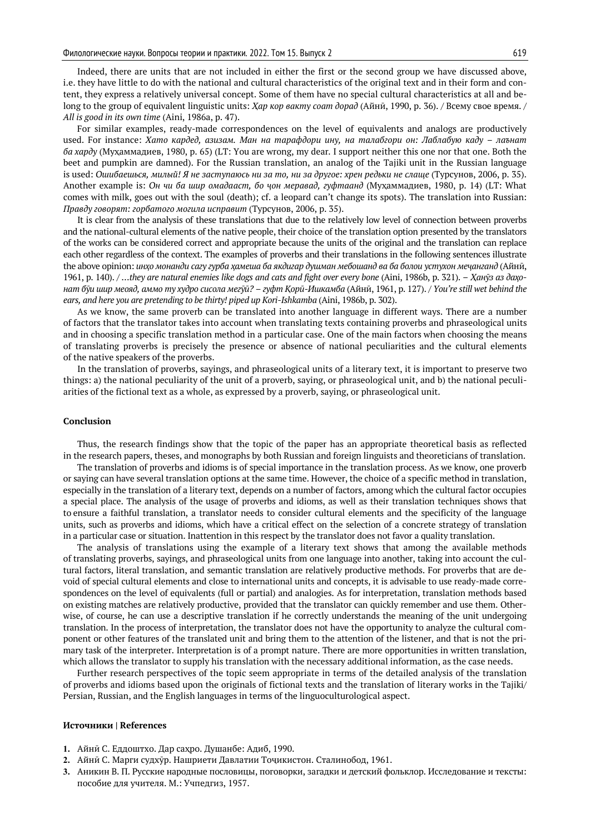Indeed, there are units that are not included in either the first or the second group we have discussed above, i.e. they have little to do with the national and cultural characteristics of the original text and in their form and content, they express a relatively universal concept. Some of them have no special cultural characteristics at all and belong to the group of equivalent linguistic units: *Ҳар кор вакту соат дорад* (Айнӣ, 1990, p. 36). / Всему свое время. / *All is good in its own time* (Aini, 1986a, p. 47).

For similar examples, ready-made correspondences on the level of equivalents and analogs are productively used. For instance: *Хато кардед, азизам. Ман на тарафдори ину, на талабгори он: Лаблабую каду – лаънат ба харду* (Муҳаммадиев, 1980, p. 65) (LT: You are wrong, my dear*.* I support neither this one nor that one. Both the beet and pumpkin are damned). For the Russian translation, an analog of the Tajiki unit in the Russian language is used: *Ошибаешься, милый! Я не заступаюсь ни за то, ни за другое: хрен редьки не слаще* (Турсунов, 2006, p. 35). Another example is: *Он чи ба шир омадааст, бо ҷон меравад, гуфтаанд* (Муҳаммадиев, 1980, p. 14) (LT: What comes with milk, goes out with the soul (death); cf. a leopard can't change its spots). The translation into Russian: *Правду говорят: горбатого могила исправит* (Турсунов, 2006, p. 35).

It is clear from the analysis of these translations that due to the relatively low level of connection between proverbs and the national-cultural elements of the native people, their choice of the translation option presented by the translators of the works can be considered correct and appropriate because the units of the original and the translation can replace each other regardless of the context. The examples of proverbs and their translations in the following sentences illustrate the above opinion: *инҳо монанди сагу гурба ҳамеша ба якдигар душман мебошанд ва ба болои устухон меҷанганд* (Айнӣ, 1961, p. 140). / *…they are natural enemies like dogs and cats and fight over every bone* (Aini, 1986b, p. 321). – *Ҳанӯз аз даҳонат бӯи шup меояд, аммо ту худро сисола мегӯӣ? – гуфт Қорӣ-Ишкамба* (Айнӣ, 1961, p. 127). / *You're still wet behind the ears, and here you are pretending to be thirty! piped up Kori-Ishkamba* (Aini, 1986b, p. 302).

As we know, the same proverb can be translated into another language in different ways. There are a number of factors that the translator takes into account when translating texts containing proverbs and phraseological units and in choosing a specific translation method in a particular case. One of the main factors when choosing the means of translating proverbs is precisely the presence or absence of national peculiarities and the cultural elements of the native speakers of the proverbs.

In the translation of proverbs, sayings, and phraseological units of a literary text, it is important to preserve two things: a) the national peculiarity of the unit of a proverb, saying, or phraseological unit, and b) the national peculiarities of the fictional text as a whole, as expressed by a proverb, saying, or phraseological unit.

#### **Conclusion**

Thus, the research findings show that the topic of the paper has an appropriate theoretical basis as reflected in the research papers, theses, and monographs by both Russian and foreign linguists and theoreticians of translation.

The translation of proverbs and idioms is of special importance in the translation process. As we know, one proverb or saying can have several translation options at the same time. However, the choice of a specific method in translation, especially in the translation of a literary text, depends on a number of factors, among which the cultural factor occupies a special place. The analysis of the usage of proverbs and idioms, as well as their translation techniques shows that to ensure a faithful translation, a translator needs to consider cultural elements and the specificity of the language units, such as proverbs and idioms, which have a critical effect on the selection of a concrete strategy of translation in a particular case or situation. Inattention in this respect by the translator does not favor a quality translation.

The analysis of translations using the example of a literary text shows that among the available methods of translating proverbs, sayings, and phraseological units from one language into another, taking into account the cultural factors, literal translation, and semantic translation are relatively productive methods. For proverbs that are devoid of special cultural elements and close to international units and concepts, it is advisable to use ready-made correspondences on the level of equivalents (full or partial) and analogies. As for interpretation, translation methods based on existing matches are relatively productive, provided that the translator can quickly remember and use them. Otherwise, of course, he can use a descriptive translation if he correctly understands the meaning of the unit undergoing translation. In the process of interpretation, the translator does not have the opportunity to analyze the cultural component or other features of the translated unit and bring them to the attention of the listener, and that is not the primary task of the interpreter. Interpretation is of a prompt nature. There are more opportunities in written translation, which allows the translator to supply his translation with the necessary additional information, as the case needs.

Further research perspectives of the topic seem appropriate in terms of the detailed analysis of the translation of proverbs and idioms based upon the originals of fictional texts and the translation of literary works in the Tajiki/ Persian, Russian, and the English languages in terms of the linguoculturological aspect.

#### **Источники | References**

- **1.** Айнӣ С. Еддоштхо. Дар саҳро. Душанбе: Адиб, 1990.
- **2.** Айнӣ С. Марги судхӯр. Нашриети Давлатии Тоҷикистон. Сталинобод, 1961.
- **3.** Аникин В. П. Русские народные пословицы, поговорки, загадки и детский фольклор. Исследование и тексты: пособие для учителя. М.: Учпедгиз, 1957.